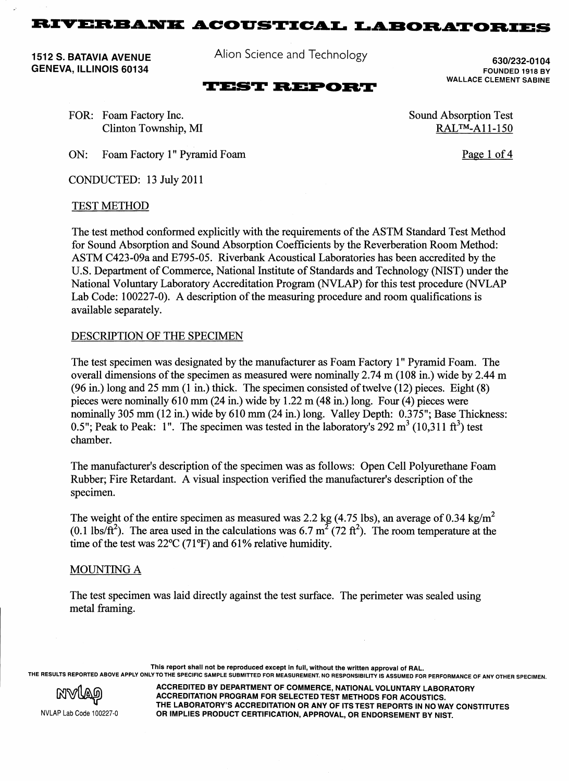1512 S. BATAVIA AVENUE GENEVA, ILLINOIS 60134

Alion Science and Technology

## **TEST REPORT**

630/232-0104 FOUNDED 1918 BY WALLACE CLEMENT SABINE

Page 1 of 4

Sound Absorption Test RAL™-A11-150

FOR: Foam Factory Inc. Clinton Township, MI

ON: Foam Factory 1" Pyramid Foam

CONDUCTED: 13 July 2011

#### TEST METHOD

The test method conformed explicitly with the requirements of the ASTM Standard Test Method for Sound Absorption and Sound Absorption Coefficients by the Reverberation Room Method: ASTM C423-09a and E795-05. Riverbank Acoustical Laboratories has been accredited by the U.S. Department of Commerce, National Institute of Standards and Technology (NIST) under the National Voluntary Laboratory Accreditation Program (NVLAP) for this test procedure (NVLAP Lab Code: 100227-0). A description of the measuring procedure and room qualifications is available separately.

### DESCRIPTION OF THE SPECIMEN

The test specimen was designated by the manufacturer as Foam Factory 1" Pyramid Foam. The overall dimensions of the specimen as measured were nominally 2.74 m (108 in.) wide by 2.44 m  $(96 \text{ in.})$  long and 25 mm  $(1 \text{ in.})$  thick. The specimen consisted of twelve  $(12)$  pieces. Eight  $(8)$ pieces were nominally 610 mm (24 in.) wide by 1.22 m (48 in.) long. Four (4) pieces were nominally 305 mm (12 in.) wide by 610 mm (24 in.) long. Valley Depth: 0.375"; Base Thickness: 0.5": Peak to Peak: 1". The specimen was tested in the laboratory's 292  $\text{m}^3$  (10.311 ft<sup>3</sup>) test chamber.

The manufacturer's description of the specimen was as follows: Open Cell Polyurethane Foam Rubber; Fire Retardant. A visual inspection verified the manufacturer's description of the specimen.

The weight of the entire specimen as measured was 2.2 kg (4.75 lbs), an average of 0.34 kg/m<sup>2</sup> (0.1 lbs/ft<sup>2</sup>). The area used in the calculations was 6.7 m<sup>2</sup> (72 ft<sup>2</sup>). The room temperature at the time of the test was  $22^{\circ}C$  (71 $^{\circ}F$ ) and 61% relative humidity.

### MOUNTING A

The test specimen was laid directly against the test surface. The perimeter was sealed using metal framing.

This report shall not be reproduced except in full, without the written approval of RAL. THE RESULTS REPORTED ABOVE APPLY ONLY TO THE SPECIFIC SAMPLE SUBMITTED FOR MEASUREMENT. NO RESPONSIBILITY IS ASSUMED FOR PERFORMANCE OF ANY OTHER SPECIMEN.



NVLAP Lab Code 100227-0

ACCREDITED BY DEPARTMENT OF COMMERCE, NATIONAL VOLUNTARY LABORATORY ACCREDITATION PROGRAM FOR SELECTED TEST METHODS FOR ACOUSTICS. THE LABORATORY'S ACCREDITATION OR ANY OF ITS TEST REPORTS IN NO WAY CONSTITUTES OR IMPLIES PRODUCT CERTIFICATION, APPROVAL, OR ENDORSEMENT BY NIST.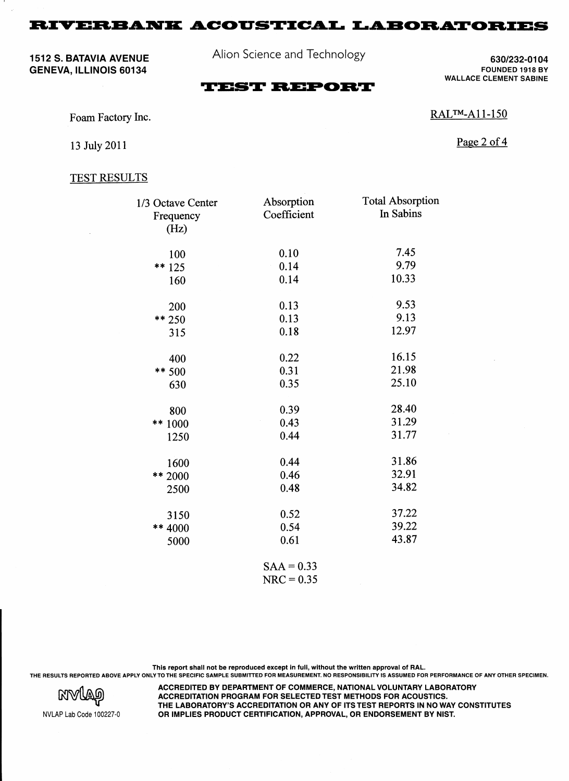1512 S. BATAVIA AVENUE GENEVA, ILLINOIS 60134

Alion Science and Technology

630/232-01 04 FOUNDED 1918 BY WALLACE CLEMENT SABINE

# **TEST REPORT**

Foam Factory Inc.

Page 2 of 4

RAL™-A11-150

13 July 2011

### TEST RESULTS

| 1/3 Octave Center | Absorption   | <b>Total Absorption</b> |
|-------------------|--------------|-------------------------|
| Frequency         | Coefficient  | In Sabins               |
| (Hz)              |              |                         |
| 100               | 0.10         | 7.45                    |
| ** 125            | 0.14<br>ł,   | 9.79                    |
| 160               | 0.14         | 10.33                   |
| 200               | 0.13         | 9.53                    |
| $** 250$          | 0.13         | 9.13                    |
| 315               | 0.18         | 12.97                   |
| 400               | 0.22         | 16.15                   |
| ** 500            | 0.31         | 21.98                   |
| 630               | 0.35         | 25.10                   |
| 800               | 0.39         | 28.40                   |
| ** 1000           | 0.43         | 31.29                   |
| 1250              | 0.44         | 31.77                   |
| 1600              | 0.44         | 31.86                   |
| ** 2000           | 0.46         | 32.91                   |
| 2500              | 0.48         | 34.82                   |
| 3150              | 0.52         | 37.22                   |
| ** 4000           | 0.54         | 39.22                   |
| 5000              | 0.61         | 43.87                   |
|                   | $SAA = 0.33$ |                         |
|                   | $NRC = 0.35$ |                         |

This report shall not be reproduced except in full, without the written approval of RAL. THE RESULTS REPORTED ABOVE APPLY ONLY TO THE SPECIFIC SAMPLE SUBMITTED FOR MEASUREMENT. NO RESPONSIBILITY IS ASSUMED FOR PERFORMANCE OF ANY OTHER SPECIMEN.



ACCREDITED BY DEPARTMENT OF COMMERCE, NATIONAL VOLUNTARY LABORATORY ACCREDITATION PROGRAM FOR SELECTED TEST METHODS FOR ACOUSTICS. THE LABORATORY'S ACCREDITATION OR ANY OF ITS TEST REPORTS IN NO WAY CONSTITUTES OR IMPLIES PRODUCT CERTIFICATION, APPROVAL, OR ENDORSEMENT BY NIST.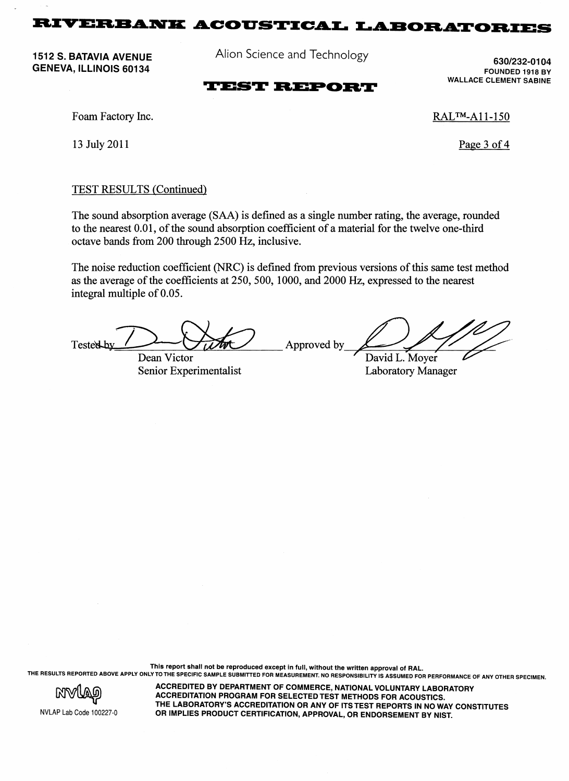1512 S. BATAVIA AVENUE GENEVA, ILLINOIS 60134

Alion Science and Technology

630/232-01 04 FOUNDED 1918 BY WALLACE CLEMENT SABINE

### **TEST REPORT**

Foam Factory Inc.

13 July 2011

RAL™-A11-150

Page 3 of 4

### TEST RESULTS (Continued)

The sound absorption average (SAA) is defined as a single number rating, the average, rounded to the nearest 0.01, of the sound absorption coefficient of a material for the twelve one-third octave bands from 200 through 2500 Hz, inclusive.

The noise reduction coefficient (NRC) is defined from previous versions of this same test method as the average of the coefficients at 250, 500, 1000, and 2000 Hz, expressed to the nearest integral multiple of 0.05.

Tested by Dean Victor Approved by David L. Moyer

Senior Experimentalist Laboratory Manager

This report shall not be reproduced except in full, without the written approval of RAL. THE RESULTS REPORTED ABOVE APPLY ONLY TO THE SPECIFIC SAMPLE SUBMITTED FOR MEASUREMENT. NO RESPONSIBILITY IS ASSUMED FOR PERFORMANCE OF ANY OTHER SPECIMEN.



NVLAP Lab Code 100227·0

ACCREDITED BY DEPARTMENT OF COMMERCE, NATIONAL VOLUNTARY LABORATORY ACCREDITATION PROGRAM FOR SELECTED TEST METHODS FOR ACOUSTICS. THE LABORATORY'S ACCREDITATION OR ANY OF ITS TEST REPORTS IN NO WAY CONSTITUTES OR IMPLIES PRODUCT CERTIFICATION, APPROVAL, OR ENDORSEMENT BY NIST.